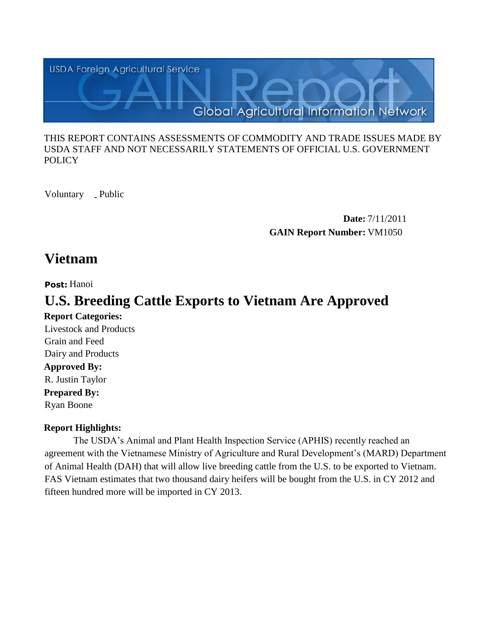

### THIS REPORT CONTAINS ASSESSMENTS OF COMMODITY AND TRADE ISSUES MADE BY USDA STAFF AND NOT NECESSARILY STATEMENTS OF OFFICIAL U.S. GOVERNMENT **POLICY**

Voluntary \_ Public

**Date:** 7/11/2011 **GAIN Report Number:** VM1050

# **Vietnam**

## **Post:** Hanoi

# **U.S. Breeding Cattle Exports to Vietnam Are Approved**

**Report Categories: Approved By: Prepared By:**  Ryan Boone R. Justin Taylor Dairy and Products Grain and Feed Livestock and Products

### **Report Highlights:**

The USDA's Animal and Plant Health Inspection Service (APHIS) recently reached an agreement with the Vietnamese Ministry of Agriculture and Rural Development's (MARD) Department of Animal Health (DAH) that will allow live breeding cattle from the U.S. to be exported to Vietnam. FAS Vietnam estimates that two thousand dairy heifers will be bought from the U.S. in CY 2012 and fifteen hundred more will be imported in CY 2013.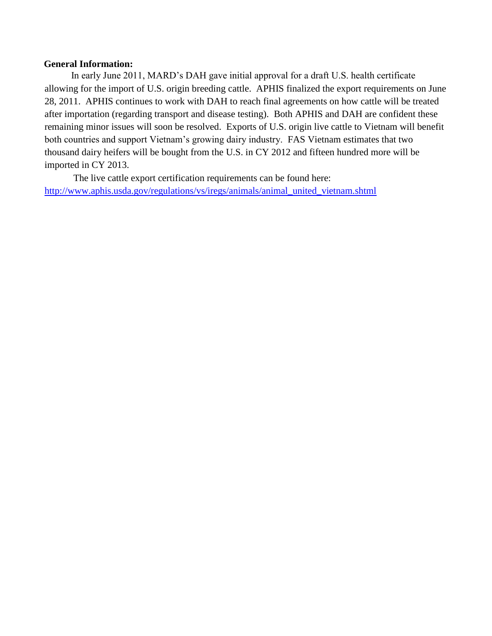#### **General Information:**

 In early June 2011, MARD's DAH gave initial approval for a draft U.S. health certificate allowing for the import of U.S. origin breeding cattle. APHIS finalized the export requirements on June 28, 2011. APHIS continues to work with DAH to reach final agreements on how cattle will be treated after importation (regarding transport and disease testing). Both APHIS and DAH are confident these remaining minor issues will soon be resolved. Exports of U.S. origin live cattle to Vietnam will benefit both countries and support Vietnam's growing dairy industry. FAS Vietnam estimates that two thousand dairy heifers will be bought from the U.S. in CY 2012 and fifteen hundred more will be imported in CY 2013.

 The live cattle export certification requirements can be found here: [http://www.aphis.usda.gov/regulations/vs/iregs/animals/animal\\_united\\_vietnam.shtml](http://www.aphis.usda.gov/regulations/vs/iregs/animals/animal_united_vietnam.shtml)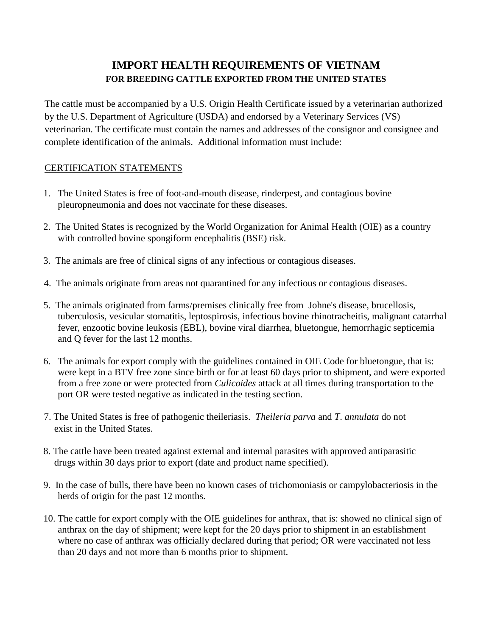# **IMPORT HEALTH REQUIREMENTS OF VIETNAM FOR BREEDING CATTLE EXPORTED FROM THE UNITED STATES**

The cattle must be accompanied by a U.S. Origin Health Certificate issued by a veterinarian authorized by the U.S. Department of Agriculture (USDA) and endorsed by a Veterinary Services (VS) veterinarian. The certificate must contain the names and addresses of the consignor and consignee and complete identification of the animals. Additional information must include:

## CERTIFICATION STATEMENTS

- 1. The United States is free of foot-and-mouth disease, rinderpest, and contagious bovine pleuropneumonia and does not vaccinate for these diseases.
- 2. The United States is recognized by the World Organization for Animal Health (OIE) as a country with controlled bovine spongiform encephalitis (BSE) risk.
- 3. The animals are free of clinical signs of any infectious or contagious diseases.
- 4. The animals originate from areas not quarantined for any infectious or contagious diseases.
- 5. The animals originated from farms/premises clinically free from Johne's disease, brucellosis, tuberculosis, vesicular stomatitis, leptospirosis, infectious bovine rhinotracheitis, malignant catarrhal fever, enzootic bovine leukosis (EBL), bovine viral diarrhea, bluetongue, hemorrhagic septicemia and Q fever for the last 12 months.
- 6. The animals for export comply with the guidelines contained in OIE Code for bluetongue, that is: were kept in a BTV free zone since birth or for at least 60 days prior to shipment, and were exported from a free zone or were protected from *Culicoides* attack at all times during transportation to the port OR were tested negative as indicated in the testing section.
- 7. The United States is free of pathogenic theileriasis. *Theileria parva* and *T*. *annulata* do not exist in the United States.
- 8. The cattle have been treated against external and internal parasites with approved antiparasitic drugs within 30 days prior to export (date and product name specified).
- 9. In the case of bulls, there have been no known cases of trichomoniasis or campylobacteriosis in the herds of origin for the past 12 months.
- 10. The cattle for export comply with the OIE guidelines for anthrax, that is: showed no clinical sign of anthrax on the day of shipment; were kept for the 20 days prior to shipment in an establishment where no case of anthrax was officially declared during that period; OR were vaccinated not less than 20 days and not more than 6 months prior to shipment.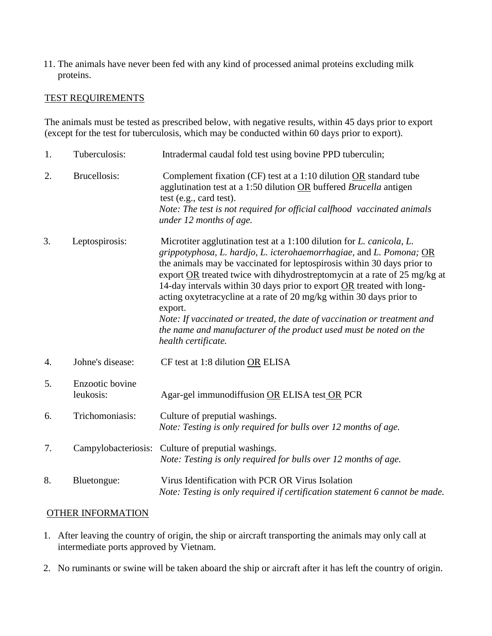11. The animals have never been fed with any kind of processed animal proteins excluding milk proteins.

### TEST REQUIREMENTS

The animals must be tested as prescribed below, with negative results, within 45 days prior to export (except for the test for tuberculosis, which may be conducted within 60 days prior to export).

| 1. | Tuberculosis:                | Intradermal caudal fold test using bovine PPD tuberculin;                                                                                                                                                                                                                                                                                                                                                                                                                                                                                                                                                                                                  |
|----|------------------------------|------------------------------------------------------------------------------------------------------------------------------------------------------------------------------------------------------------------------------------------------------------------------------------------------------------------------------------------------------------------------------------------------------------------------------------------------------------------------------------------------------------------------------------------------------------------------------------------------------------------------------------------------------------|
| 2. | <b>Brucellosis:</b>          | Complement fixation (CF) test at a 1:10 dilution OR standard tube<br>agglutination test at a 1:50 dilution OR buffered Brucella antigen<br>test (e.g., card test).<br>Note: The test is not required for official calfhood vaccinated animals<br>under 12 months of age.                                                                                                                                                                                                                                                                                                                                                                                   |
| 3. | Leptospirosis:               | Microtiter agglutination test at a 1:100 dilution for <i>L. canicola</i> , <i>L.</i><br>grippotyphosa, L. hardjo, L. icterohaemorrhagiae, and L. Pomona; $OR$<br>the animals may be vaccinated for leptospirosis within 30 days prior to<br>export OR treated twice with dihydrostreptomycin at a rate of 25 mg/kg at<br>14-day intervals within 30 days prior to export OR treated with long-<br>acting oxytetracycline at a rate of 20 mg/kg within 30 days prior to<br>export.<br>Note: If vaccinated or treated, the date of vaccination or treatment and<br>the name and manufacturer of the product used must be noted on the<br>health certificate. |
| 4. | Johne's disease:             | CF test at 1:8 dilution OR ELISA                                                                                                                                                                                                                                                                                                                                                                                                                                                                                                                                                                                                                           |
| 5. | Enzootic bovine<br>leukosis: | Agar-gel immunodiffusion OR ELISA test OR PCR                                                                                                                                                                                                                                                                                                                                                                                                                                                                                                                                                                                                              |
| 6. | Trichomoniasis:              | Culture of preputial washings.<br>Note: Testing is only required for bulls over 12 months of age.                                                                                                                                                                                                                                                                                                                                                                                                                                                                                                                                                          |
| 7. | Campylobacteriosis:          | Culture of preputial washings.<br>Note: Testing is only required for bulls over 12 months of age.                                                                                                                                                                                                                                                                                                                                                                                                                                                                                                                                                          |
| 8. | Bluetongue:                  | Virus Identification with PCR OR Virus Isolation<br>Note: Testing is only required if certification statement 6 cannot be made.                                                                                                                                                                                                                                                                                                                                                                                                                                                                                                                            |

### OTHER INFORMATION

- 1. After leaving the country of origin, the ship or aircraft transporting the animals may only call at intermediate ports approved by Vietnam.
- 2. No ruminants or swine will be taken aboard the ship or aircraft after it has left the country of origin.